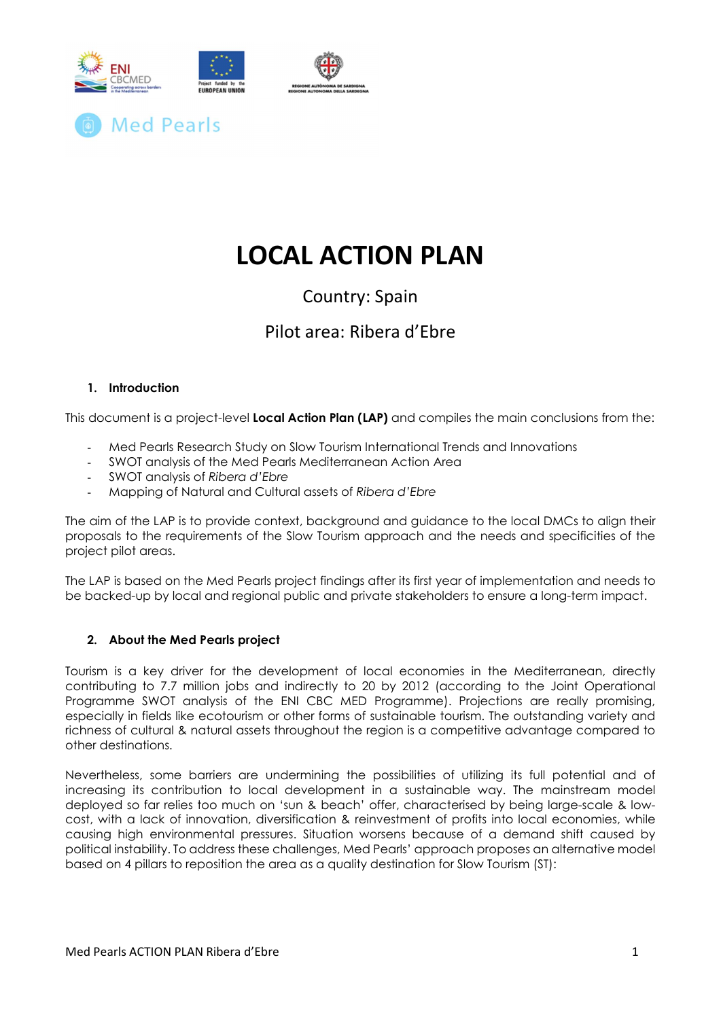

# LOCAL ACTION PLAN

## Country: Spain

## Pilot area: Ribera d'Ebre

## 1. Introduction

This document is a project-level Local Action Plan (LAP) and compiles the main conclusions from the:

- Med Pearls Research Study on Slow Tourism International Trends and Innovations
- SWOT analysis of the Med Pearls Mediterranean Action Area
- SWOT analysis of Ribera d'Ebre
- Mapping of Natural and Cultural assets of Ribera d'Ebre

The aim of the LAP is to provide context, background and guidance to the local DMCs to align their proposals to the requirements of the Slow Tourism approach and the needs and specificities of the project pilot areas.

The LAP is based on the Med Pearls project findings after its first year of implementation and needs to be backed-up by local and regional public and private stakeholders to ensure a long-term impact.

## 2. About the Med Pearls project

Tourism is a key driver for the development of local economies in the Mediterranean, directly contributing to 7.7 million jobs and indirectly to 20 by 2012 (according to the Joint Operational Programme SWOT analysis of the ENI CBC MED Programme). Projections are really promising, especially in fields like ecotourism or other forms of sustainable tourism. The outstanding variety and richness of cultural & natural assets throughout the region is a competitive advantage compared to other destinations.

Nevertheless, some barriers are undermining the possibilities of utilizing its full potential and of increasing its contribution to local development in a sustainable way. The mainstream model deployed so far relies too much on 'sun & beach' offer, characterised by being large-scale & lowcost, with a lack of innovation, diversification & reinvestment of profits into local economies, while causing high environmental pressures. Situation worsens because of a demand shift caused by political instability. To address these challenges, Med Pearls' approach proposes an alternative model based on 4 pillars to reposition the area as a quality destination for Slow Tourism (ST):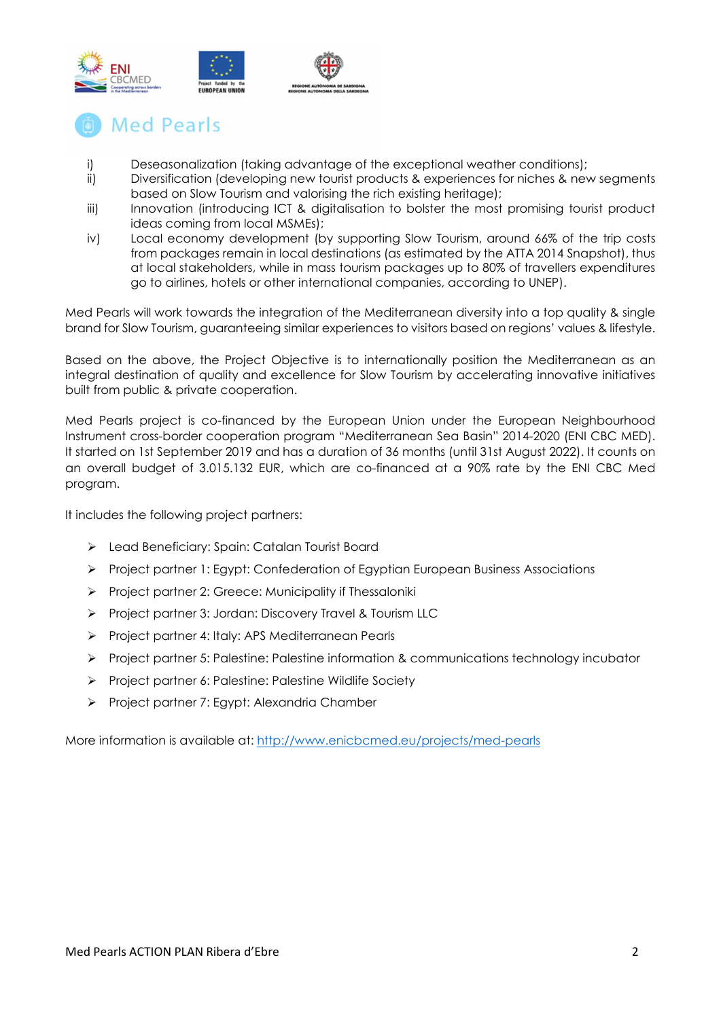

## **Med Pearls**

- i) Deseasonalization (taking advantage of the exceptional weather conditions);
- ii) Diversification (developing new tourist products & experiences for niches & new segments based on Slow Tourism and valorising the rich existing heritage);
- iii) Innovation (introducing ICT & digitalisation to bolster the most promising tourist product ideas coming from local MSMEs);
- iv) Local economy development (by supporting Slow Tourism, around 66% of the trip costs from packages remain in local destinations (as estimated by the ATTA 2014 Snapshot), thus at local stakeholders, while in mass tourism packages up to 80% of travellers expenditures go to airlines, hotels or other international companies, according to UNEP).

Med Pearls will work towards the integration of the Mediterranean diversity into a top quality & single brand for Slow Tourism, guaranteeing similar experiences to visitors based on regions' values & lifestyle.

Based on the above, the Project Objective is to internationally position the Mediterranean as an integral destination of quality and excellence for Slow Tourism by accelerating innovative initiatives built from public & private cooperation.

Med Pearls project is co-financed by the European Union under the European Neighbourhood Instrument cross-border cooperation program "Mediterranean Sea Basin" 2014-2020 (ENI CBC MED). It started on 1st September 2019 and has a duration of 36 months (until 31st August 2022). It counts on an overall budget of 3.015.132 EUR, which are co-financed at a 90% rate by the ENI CBC Med program.

It includes the following project partners:

- Lead Beneficiary: Spain: Catalan Tourist Board
- Project partner 1: Egypt: Confederation of Egyptian European Business Associations
- Project partner 2: Greece: Municipality if Thessaloniki
- Project partner 3: Jordan: Discovery Travel & Tourism LLC
- Project partner 4: Italy: APS Mediterranean Pearls
- $\triangleright$  Project partner 5: Palestine: Palestine information & communications technology incubator
- Project partner 6: Palestine: Palestine Wildlife Society
- Project partner 7: Egypt: Alexandria Chamber

More information is available at: http://www.enicbcmed.eu/projects/med-pearls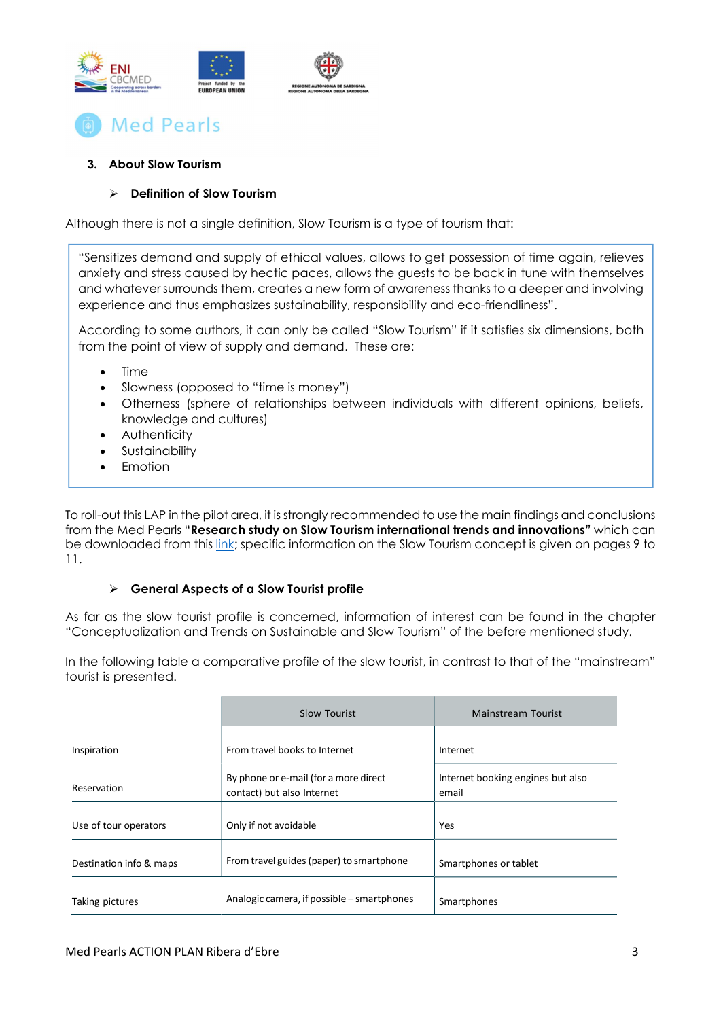



## 3. About Slow Tourism

## $\triangleright$  Definition of Slow Tourism

Although there is not a single definition, Slow Tourism is a type of tourism that:

"Sensitizes demand and supply of ethical values, allows to get possession of time again, relieves anxiety and stress caused by hectic paces, allows the guests to be back in tune with themselves and whatever surrounds them, creates a new form of awareness thanks to a deeper and involving experience and thus emphasizes sustainability, responsibility and eco-friendliness".

According to some authors, it can only be called "Slow Tourism" if it satisfies six dimensions, both from the point of view of supply and demand. These are:

- Time
- Slowness (opposed to "time is money")
- Otherness (sphere of relationships between individuals with different opinions, beliefs, knowledge and cultures)
- **Authenticity**
- Sustainability
- Emotion

To roll-out this LAP in the pilot area, it is strongly recommended to use the main findings and conclusions from the Med Pearls "Research study on Slow Tourism international trends and innovations" which can be downloaded from this link; specific information on the Slow Tourism concept is given on pages 9 to 11.

### $\triangleright$  General Aspects of a Slow Tourist profile

As far as the slow tourist profile is concerned, information of interest can be found in the chapter "Conceptualization and Trends on Sustainable and Slow Tourism" of the before mentioned study.

In the following table a comparative profile of the slow tourist, in contrast to that of the "mainstream" tourist is presented.

|                         | Slow Tourist                                                        | Mainstream Tourist                         |
|-------------------------|---------------------------------------------------------------------|--------------------------------------------|
| Inspiration             | From travel books to Internet                                       | Internet                                   |
| Reservation             | By phone or e-mail (for a more direct<br>contact) but also Internet | Internet booking engines but also<br>email |
| Use of tour operators   | Only if not avoidable                                               | <b>Yes</b>                                 |
| Destination info & maps | From travel guides (paper) to smartphone                            | Smartphones or tablet                      |
| Taking pictures         | Analogic camera, if possible – smartphones                          | Smartphones                                |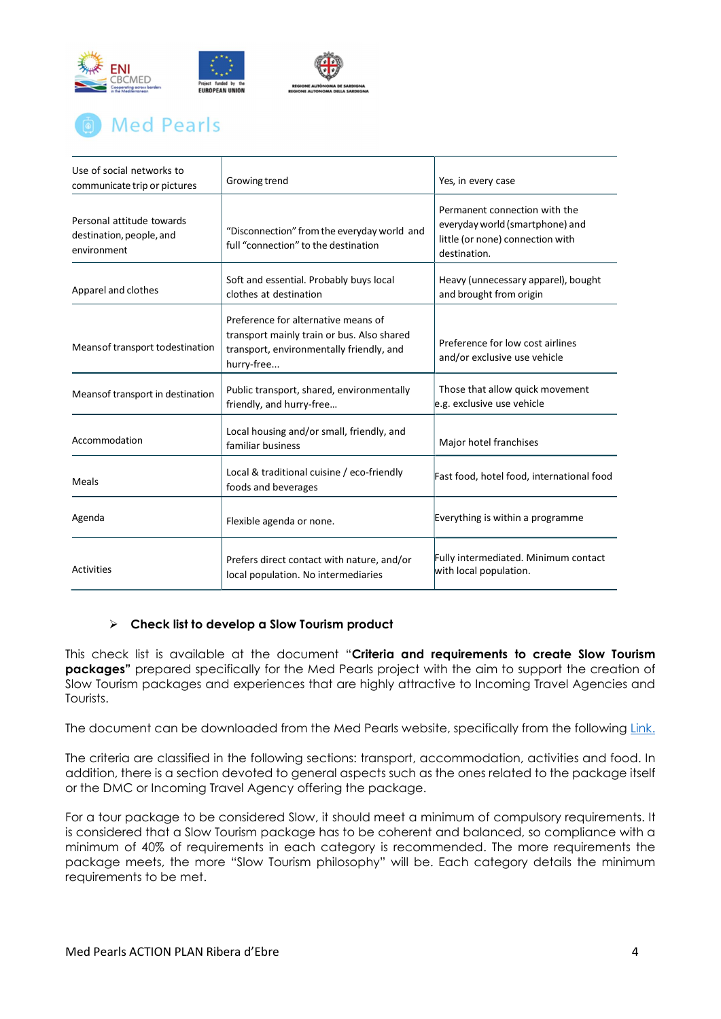

# **Med Pearls**

| Use of social networks to<br>communicate trip or pictures            | Growing trend                                                                                                                               | Yes, in every case                                                                                                   |
|----------------------------------------------------------------------|---------------------------------------------------------------------------------------------------------------------------------------------|----------------------------------------------------------------------------------------------------------------------|
| Personal attitude towards<br>destination, people, and<br>environment | "Disconnection" from the everyday world and<br>full "connection" to the destination                                                         | Permanent connection with the<br>everyday world (smartphone) and<br>little (or none) connection with<br>destination. |
| Apparel and clothes                                                  | Soft and essential. Probably buys local<br>clothes at destination                                                                           | Heavy (unnecessary apparel), bought<br>and brought from origin                                                       |
| Means of transport to destination                                    | Preference for alternative means of<br>transport mainly train or bus. Also shared<br>transport, environmentally friendly, and<br>hurry-free | Preference for low cost airlines<br>and/or exclusive use vehicle                                                     |
| Meansof transport in destination                                     | Public transport, shared, environmentally<br>friendly, and hurry-free                                                                       | Those that allow quick movement<br>e.g. exclusive use vehicle                                                        |
| Accommodation                                                        | Local housing and/or small, friendly, and<br>familiar business                                                                              | Major hotel franchises                                                                                               |
| Meals                                                                | Local & traditional cuisine / eco-friendly<br>foods and beverages                                                                           | Fast food, hotel food, international food                                                                            |
| Agenda                                                               | Flexible agenda or none.                                                                                                                    | Everything is within a programme                                                                                     |
| Activities                                                           | Prefers direct contact with nature, and/or<br>local population. No intermediaries                                                           | Fully intermediated. Minimum contact<br>with local population.                                                       |

## $\triangleright$  Check list to develop a Slow Tourism product

This check list is available at the document "Criteria and requirements to create Slow Tourism packages" prepared specifically for the Med Pearls project with the aim to support the creation of Slow Tourism packages and experiences that are highly attractive to Incoming Travel Agencies and Tourists.

The document can be downloaded from the Med Pearls website, specifically from the following Link.

The criteria are classified in the following sections: transport, accommodation, activities and food. In addition, there is a section devoted to general aspects such as the ones related to the package itself or the DMC or Incoming Travel Agency offering the package.

For a tour package to be considered Slow, it should meet a minimum of compulsory requirements. It is considered that a Slow Tourism package has to be coherent and balanced, so compliance with a minimum of 40% of requirements in each category is recommended. The more requirements the package meets, the more "Slow Tourism philosophy" will be. Each category details the minimum requirements to be met.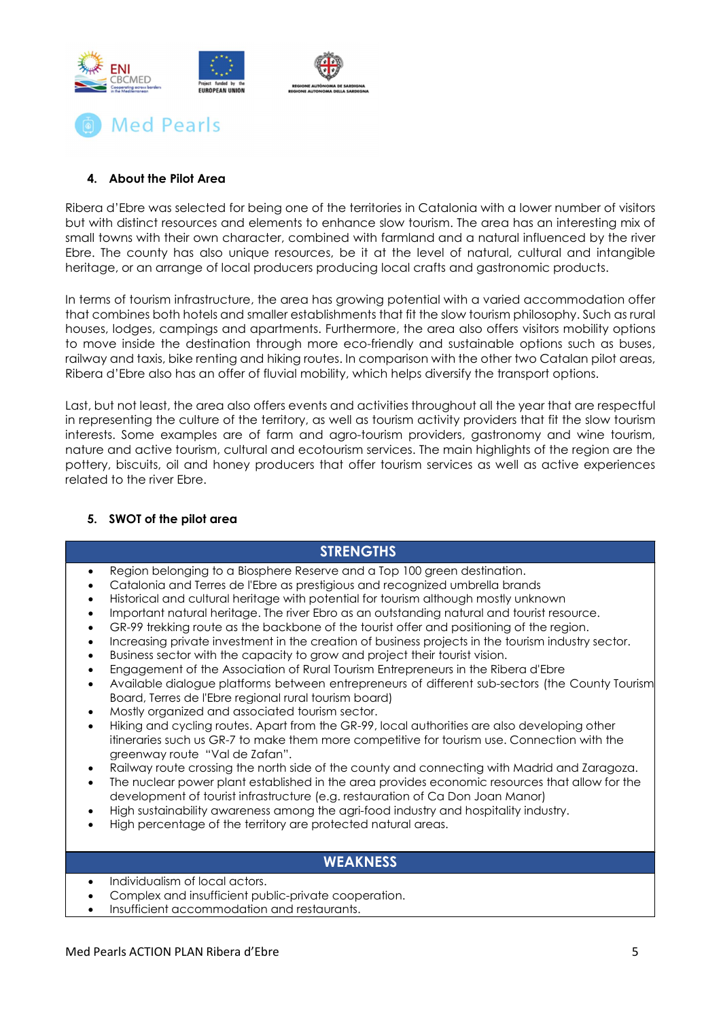

## 4. About the Pilot Area

Ribera d'Ebre was selected for being one of the territories in Catalonia with a lower number of visitors but with distinct resources and elements to enhance slow tourism. The area has an interesting mix of small towns with their own character, combined with farmland and a natural influenced by the river Ebre. The county has also unique resources, be it at the level of natural, cultural and intangible heritage, or an arrange of local producers producing local crafts and gastronomic products.

In terms of tourism infrastructure, the area has growing potential with a varied accommodation offer that combines both hotels and smaller establishments that fit the slow tourism philosophy. Such as rural houses, lodges, campings and apartments. Furthermore, the area also offers visitors mobility options to move inside the destination through more eco-friendly and sustainable options such as buses, railway and taxis, bike renting and hiking routes. In comparison with the other two Catalan pilot areas, Ribera d'Ebre also has an offer of fluvial mobility, which helps diversify the transport options.

Last, but not least, the area also offers events and activities throughout all the year that are respectful in representing the culture of the territory, as well as tourism activity providers that fit the slow tourism interests. Some examples are of farm and agro-tourism providers, gastronomy and wine tourism, nature and active tourism, cultural and ecotourism services. The main highlights of the region are the pottery, biscuits, oil and honey producers that offer tourism services as well as active experiences related to the river Ebre.

## 5. SWOT of the pilot area

| <b>STRENGTHS</b>                                                                                                                                                                                                                                                                                                                                                                                                                                                                                                                                                                                                                                                                                                                                                                                                                                                                                                                                                                                                                                                                                                                                                                                                                                                                                                                                                                                                                                                                                                                                                                                                                                                    |  |  |  |
|---------------------------------------------------------------------------------------------------------------------------------------------------------------------------------------------------------------------------------------------------------------------------------------------------------------------------------------------------------------------------------------------------------------------------------------------------------------------------------------------------------------------------------------------------------------------------------------------------------------------------------------------------------------------------------------------------------------------------------------------------------------------------------------------------------------------------------------------------------------------------------------------------------------------------------------------------------------------------------------------------------------------------------------------------------------------------------------------------------------------------------------------------------------------------------------------------------------------------------------------------------------------------------------------------------------------------------------------------------------------------------------------------------------------------------------------------------------------------------------------------------------------------------------------------------------------------------------------------------------------------------------------------------------------|--|--|--|
| Region belonging to a Biosphere Reserve and a Top 100 green destination.<br>$\bullet$<br>Catalonia and Terres de l'Ebre as prestigious and recognized umbrella brands<br>Historical and cultural heritage with potential for tourism although mostly unknown<br>Important natural heritage. The river Ebro as an outstanding natural and tourist resource.<br>GR-99 trekking route as the backbone of the tourist offer and positioning of the region.<br>Increasing private investment in the creation of business projects in the tourism industry sector.<br>Business sector with the capacity to grow and project their tourist vision.<br>Engagement of the Association of Rural Tourism Entrepreneurs in the Ribera d'Ebre<br>Available dialogue platforms between entrepreneurs of different sub-sectors (the County Tourism<br>٠<br>Board, Terres de l'Ebre regional rural tourism board)<br>Mostly organized and associated tourism sector.<br>$\bullet$<br>Hiking and cycling routes. Apart from the GR-99, local authorities are also developing other<br>٠<br>itineraries such us GR-7 to make them more competitive for tourism use. Connection with the<br>greenway route "Val de Zafan".<br>Railway route crossing the north side of the county and connecting with Madrid and Zaragoza.<br>٠<br>The nuclear power plant established in the area provides economic resources that allow for the<br>٠<br>development of tourist infrastructure (e.g. restauration of Ca Don Joan Manor)<br>High sustainability awareness among the agri-food industry and hospitality industry.<br>High percentage of the territory are protected natural areas.<br>٠ |  |  |  |
| <b>WEAKNESS</b>                                                                                                                                                                                                                                                                                                                                                                                                                                                                                                                                                                                                                                                                                                                                                                                                                                                                                                                                                                                                                                                                                                                                                                                                                                                                                                                                                                                                                                                                                                                                                                                                                                                     |  |  |  |
| Individualism of local actors.<br>٠                                                                                                                                                                                                                                                                                                                                                                                                                                                                                                                                                                                                                                                                                                                                                                                                                                                                                                                                                                                                                                                                                                                                                                                                                                                                                                                                                                                                                                                                                                                                                                                                                                 |  |  |  |

- Complex and insufficient public-private cooperation.
- Insufficient accommodation and restaurants.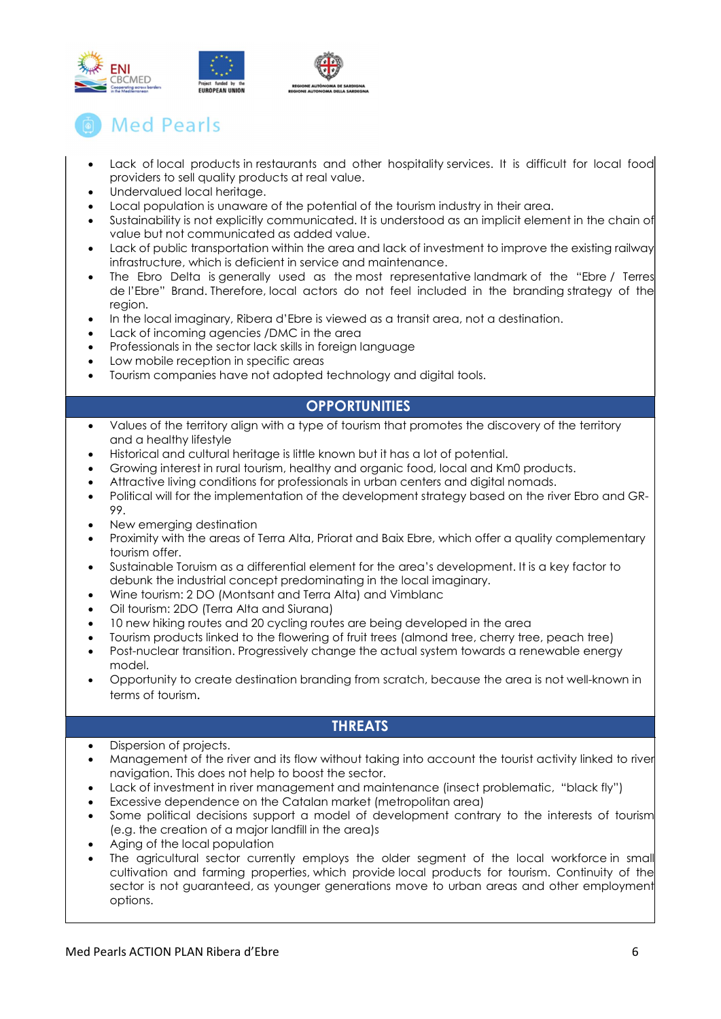

## **Med Pearls**

- Lack of local products in restaurants and other hospitality services. It is difficult for local food providers to sell quality products at real value.
- Undervalued local heritage.
- Local population is unaware of the potential of the tourism industry in their area.
- Sustainability is not explicitly communicated. It is understood as an implicit element in the chain of value but not communicated as added value.
- Lack of public transportation within the area and lack of investment to improve the existing railway infrastructure, which is deficient in service and maintenance.
- The Ebro Delta is generally used as the most representative landmark of the "Ebre / Terres de l'Ebre" Brand. Therefore, local actors do not feel included in the branding strategy of the region.
- In the local imaginary, Ribera d'Ebre is viewed as a transit area, not a destination.
- Lack of incoming agencies /DMC in the area
- Professionals in the sector lack skills in foreign language
- Low mobile reception in specific areas
- Tourism companies have not adopted technology and digital tools.

## **OPPORTUNITIES**

- Values of the territory align with a type of tourism that promotes the discovery of the territory and a healthy lifestyle
- Historical and cultural heritage is little known but it has a lot of potential.
- Growing interest in rural tourism, healthy and organic food, local and Km0 products.
- Attractive living conditions for professionals in urban centers and digital nomads.
- Political will for the implementation of the development strategy based on the river Ebro and GR-99.
- New emerging destination
- Proximity with the areas of Terra Alta, Priorat and Baix Ebre, which offer a quality complementary tourism offer.
- Sustainable Toruism as a differential element for the area's development. It is a key factor to debunk the industrial concept predominating in the local imaginary.
- Wine tourism: 2 DO (Montsant and Terra Alta) and Vimblanc
- Oil tourism: 2DO (Terra Alta and Siurana)
- 10 new hiking routes and 20 cycling routes are being developed in the area
- Tourism products linked to the flowering of fruit trees (almond tree, cherry tree, peach tree)
- Post-nuclear transition. Progressively change the actual system towards a renewable energy model.
- Opportunity to create destination branding from scratch, because the area is not well-known in terms of tourism.

## **THREATS**

- Dispersion of projects.
- Management of the river and its flow without taking into account the tourist activity linked to river navigation. This does not help to boost the sector.
- Lack of investment in river management and maintenance (insect problematic, "black fly")
- Excessive dependence on the Catalan market (metropolitan area)
- Some political decisions support a model of development contrary to the interests of tourism (e.g. the creation of a major landfill in the area)s
- Aging of the local population
- The agricultural sector currently employs the older segment of the local workforce in small cultivation and farming properties, which provide local products for tourism. Continuity of the sector is not guaranteed, as younger generations move to urban areas and other employment options.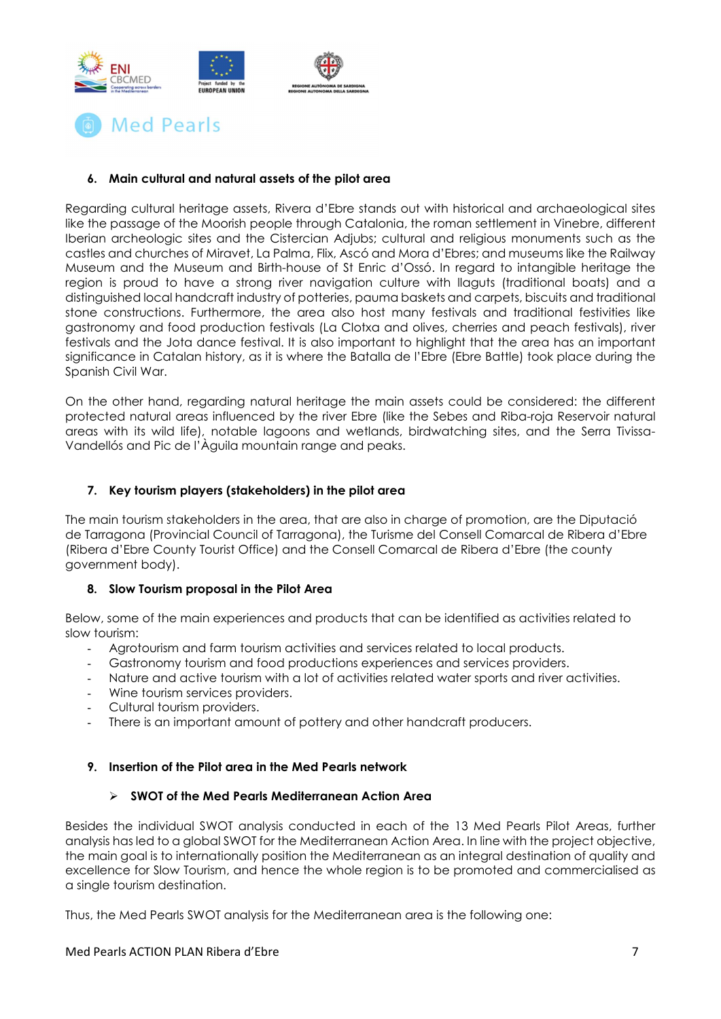



## 6. Main cultural and natural assets of the pilot area

Regarding cultural heritage assets, Rivera d'Ebre stands out with historical and archaeological sites like the passage of the Moorish people through Catalonia, the roman settlement in Vinebre, different Iberian archeologic sites and the Cistercian Adjubs; cultural and religious monuments such as the castles and churches of Miravet, La Palma, Flix, Ascó and Mora d'Ebres; and museums like the Railway Museum and the Museum and Birth-house of St Enric d'Ossó. In regard to intangible heritage the region is proud to have a strong river navigation culture with llaguts (traditional boats) and a distinguished local handcraft industry of potteries, pauma baskets and carpets, biscuits and traditional stone constructions. Furthermore, the area also host many festivals and traditional festivities like gastronomy and food production festivals (La Clotxa and olives, cherries and peach festivals), river festivals and the Jota dance festival. It is also important to highlight that the area has an important significance in Catalan history, as it is where the Batalla de l'Ebre (Ebre Battle) took place during the Spanish Civil War.

On the other hand, regarding natural heritage the main assets could be considered: the different protected natural areas influenced by the river Ebre (like the Sebes and Riba-roja Reservoir natural areas with its wild life), notable lagoons and wetlands, birdwatching sites, and the Serra Tivissa-Vandellós and Pic de l'Àguila mountain range and peaks.

## 7. Key tourism players (stakeholders) in the pilot area

The main tourism stakeholders in the area, that are also in charge of promotion, are the Diputació de Tarragona (Provincial Council of Tarragona), the Turisme del Consell Comarcal de Ribera d'Ebre (Ribera d'Ebre County Tourist Office) and the Consell Comarcal de Ribera d'Ebre (the county government body).

### 8. Slow Tourism proposal in the Pilot Area

Below, some of the main experiences and products that can be identified as activities related to slow tourism:

- Agrotourism and farm tourism activities and services related to local products.
- Gastronomy tourism and food productions experiences and services providers.
- Nature and active tourism with a lot of activities related water sports and river activities.
- Wine tourism services providers.
- Cultural tourism providers.
- There is an important amount of pottery and other handcraft producers.

### 9. Insertion of the Pilot area in the Med Pearls network

## $\triangleright$  SWOT of the Med Pearls Mediterranean Action Area

Besides the individual SWOT analysis conducted in each of the 13 Med Pearls Pilot Areas, further analysis has led to a global SWOT for the Mediterranean Action Area. In line with the project objective, the main goal is to internationally position the Mediterranean as an integral destination of quality and excellence for Slow Tourism, and hence the whole region is to be promoted and commercialised as a single tourism destination.

Thus, the Med Pearls SWOT analysis for the Mediterranean area is the following one: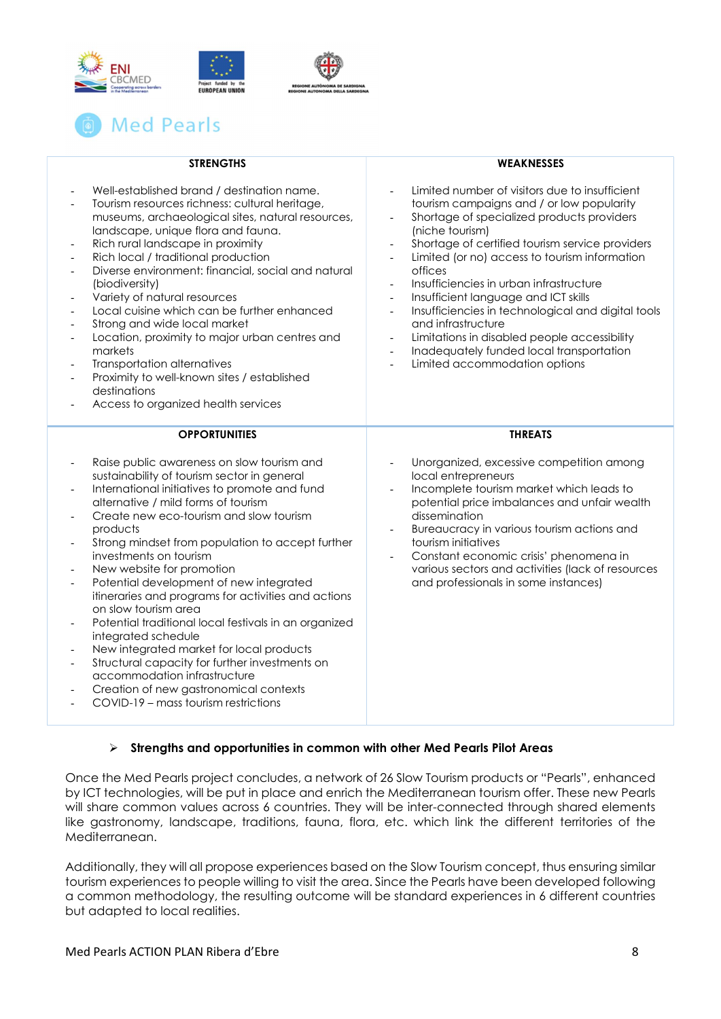



| <b>STRENGTHS</b>                                                                                                                                                                                                                                                                                                                                                                                                                                                                                                                                                                                                                                                                                                                                                                                                                                                                    | <b>WEAKNESSES</b>                                                                                                                                                                                                                                                                                                                                                                                                                                                                                                                                                                                                                                                                                                                                                                             |
|-------------------------------------------------------------------------------------------------------------------------------------------------------------------------------------------------------------------------------------------------------------------------------------------------------------------------------------------------------------------------------------------------------------------------------------------------------------------------------------------------------------------------------------------------------------------------------------------------------------------------------------------------------------------------------------------------------------------------------------------------------------------------------------------------------------------------------------------------------------------------------------|-----------------------------------------------------------------------------------------------------------------------------------------------------------------------------------------------------------------------------------------------------------------------------------------------------------------------------------------------------------------------------------------------------------------------------------------------------------------------------------------------------------------------------------------------------------------------------------------------------------------------------------------------------------------------------------------------------------------------------------------------------------------------------------------------|
| Well-established brand / destination name.<br>Tourism resources richness: cultural heritage,<br>$\qquad \qquad \blacksquare$<br>museums, archaeological sites, natural resources,<br>landscape, unique flora and fauna.<br>Rich rural landscape in proximity<br>$\overline{a}$<br>Rich local / traditional production<br>Diverse environment: financial, social and natural<br>(biodiversity)<br>Variety of natural resources<br>$\overline{\phantom{0}}$<br>Local cuisine which can be further enhanced<br>$\overline{a}$<br>Strong and wide local market<br>L,<br>Location, proximity to major urban centres and<br>L,<br>markets<br>Transportation alternatives<br>Proximity to well-known sites / established<br>destinations<br>Access to organized health services                                                                                                            | Limited number of visitors due to insufficient<br>$\overline{\phantom{a}}$<br>tourism campaigns and / or low popularity<br>Shortage of specialized products providers<br>$\overline{\phantom{a}}$<br>(niche tourism)<br>Shortage of certified tourism service providers<br>$\overline{\phantom{a}}$<br>Limited (or no) access to tourism information<br>$\overline{\phantom{a}}$<br>offices<br>Insufficiencies in urban infrastructure<br>Insufficient language and ICT skills<br>$\overline{\phantom{a}}$<br>Insufficiencies in technological and digital tools<br>$\blacksquare$<br>and infrastructure<br>Limitations in disabled people accessibility<br>Inadequately funded local transportation<br>$\overline{\phantom{a}}$<br>Limited accommodation options<br>$\overline{\phantom{a}}$ |
| <b>OPPORTUNITIES</b>                                                                                                                                                                                                                                                                                                                                                                                                                                                                                                                                                                                                                                                                                                                                                                                                                                                                | <b>THREATS</b>                                                                                                                                                                                                                                                                                                                                                                                                                                                                                                                                                                                                                                                                                                                                                                                |
| Raise public awareness on slow tourism and<br>sustainability of tourism sector in general<br>International initiatives to promote and fund<br>$\overline{\phantom{0}}$<br>alternative / mild forms of tourism<br>Create new eco-tourism and slow tourism<br>products<br>Strong mindset from population to accept further<br>investments on tourism<br>New website for promotion<br>Potential development of new integrated<br>$\overline{\phantom{0}}$<br>itineraries and programs for activities and actions<br>on slow tourism area<br>Potential traditional local festivals in an organized<br>integrated schedule<br>New integrated market for local products<br>$\overline{a}$<br>Structural capacity for further investments on<br>$\overline{\phantom{0}}$<br>accommodation infrastructure<br>Creation of new gastronomical contexts<br>COVID-19 - mass tourism restrictions | Unorganized, excessive competition among<br>local entrepreneurs<br>Incomplete tourism market which leads to<br>$\frac{1}{2}$<br>potential price imbalances and unfair wealth<br>dissemination<br>Bureaucracy in various tourism actions and<br>$\overline{\phantom{a}}$<br>tourism initiatives<br>Constant economic crisis' phenomena in<br>various sectors and activities (lack of resources<br>and professionals in some instances)                                                                                                                                                                                                                                                                                                                                                         |

## $\triangleright$  Strengths and opportunities in common with other Med Pearls Pilot Areas

Once the Med Pearls project concludes, a network of 26 Slow Tourism products or "Pearls", enhanced by ICT technologies, will be put in place and enrich the Mediterranean tourism offer. These new Pearls will share common values across 6 countries. They will be inter-connected through shared elements like gastronomy, landscape, traditions, fauna, flora, etc. which link the different territories of the Mediterranean.

Additionally, they will all propose experiences based on the Slow Tourism concept, thus ensuring similar tourism experiences to people willing to visit the area. Since the Pearls have been developed following a common methodology, the resulting outcome will be standard experiences in 6 different countries but adapted to local realities.